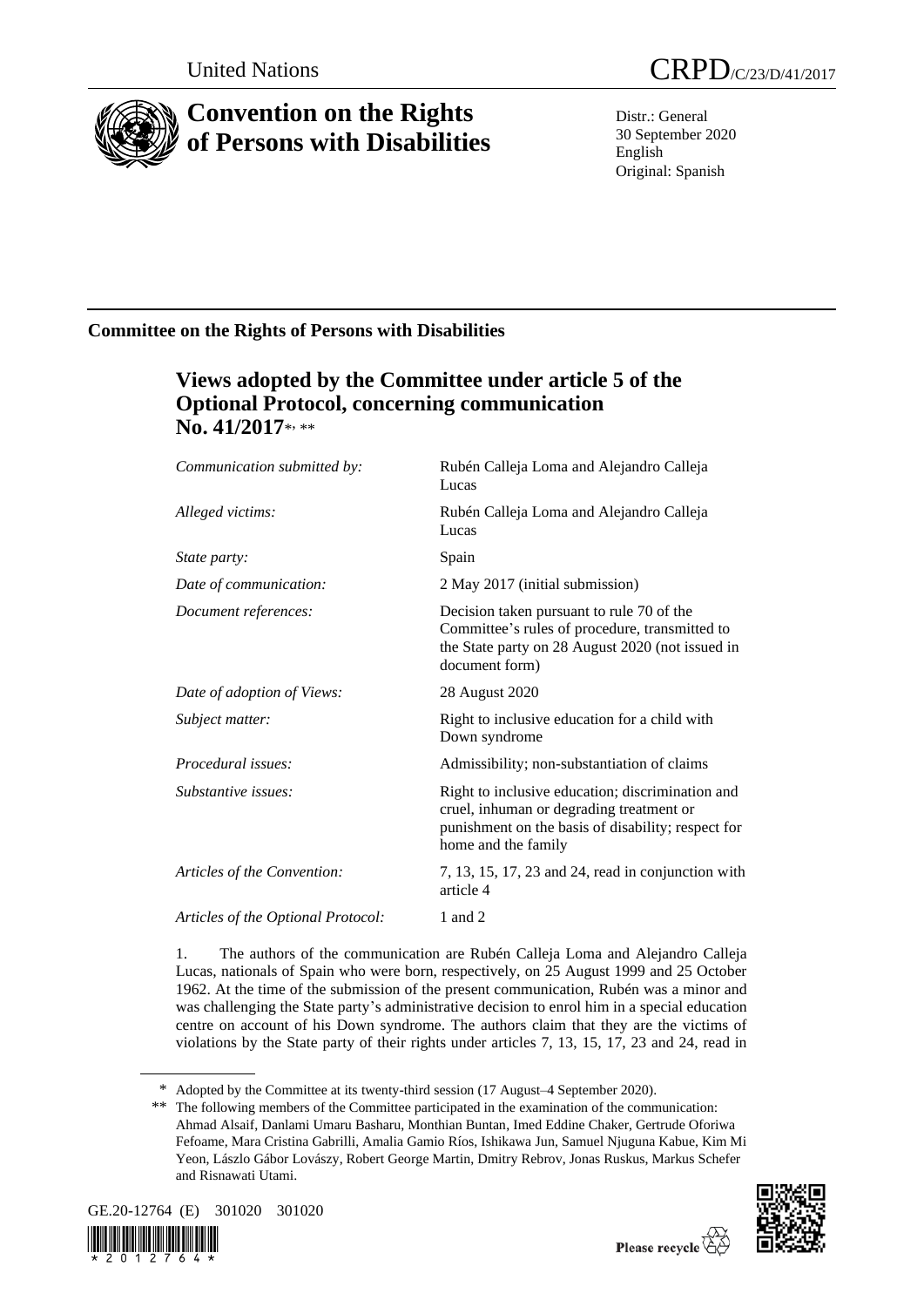

# **Convention on the Rights of Persons with Disabilities**

Distr.: General 30 September 2020 English Original: Spanish

# **Committee on the Rights of Persons with Disabilities**

# **Views adopted by the Committee under article 5 of the Optional Protocol, concerning communication**  No. 41/2017\*<sub>\*\*</sub>

| Communication submitted by:        | Rubén Calleja Loma and Alejandro Calleja<br>Lucas                                                                                                                         |
|------------------------------------|---------------------------------------------------------------------------------------------------------------------------------------------------------------------------|
| Alleged victims:                   | Rubén Calleja Loma and Alejandro Calleja<br>Lucas                                                                                                                         |
| State party:                       | Spain                                                                                                                                                                     |
| Date of communication:             | 2 May 2017 (initial submission)                                                                                                                                           |
| Document references:               | Decision taken pursuant to rule 70 of the<br>Committee's rules of procedure, transmitted to<br>the State party on 28 August 2020 (not issued in<br>document form)         |
| Date of adoption of Views:         | 28 August 2020                                                                                                                                                            |
| Subject matter:                    | Right to inclusive education for a child with<br>Down syndrome                                                                                                            |
| Procedural issues:                 | Admissibility; non-substantiation of claims                                                                                                                               |
| Substantive issues:                | Right to inclusive education; discrimination and<br>cruel, inhuman or degrading treatment or<br>punishment on the basis of disability; respect for<br>home and the family |
| Articles of the Convention:        | 7, 13, 15, 17, 23 and 24, read in conjunction with<br>article 4                                                                                                           |
| Articles of the Optional Protocol: | 1 and 2                                                                                                                                                                   |
|                                    |                                                                                                                                                                           |

1. The authors of the communication are Rubén Calleja Loma and Alejandro Calleja Lucas, nationals of Spain who were born, respectively, on 25 August 1999 and 25 October 1962. At the time of the submission of the present communication, Rubén was a minor and was challenging the State party's administrative decision to enrol him in a special education centre on account of his Down syndrome. The authors claim that they are the victims of violations by the State party of their rights under articles 7, 13, 15, 17, 23 and 24, read in

<sup>\*\*</sup> The following members of the Committee participated in the examination of the communication: Ahmad Alsaif, Danlami Umaru Basharu, Monthian Buntan, Imed Eddine Chaker, Gertrude Oforiwa Fefoame, Mara Cristina Gabrilli, Amalia Gamio Ríos, Ishikawa Jun, Samuel Njuguna Kabue, Kim Mi Yeon, Lászlo Gábor Lovászy, Robert George Martin, Dmitry Rebrov, Jonas Ruskus, Markus Schefer and Risnawati Utami.



2 0 1 2 7



Please recycle  $\overleftrightarrow{C}$ 

<sup>\*</sup> Adopted by the Committee at its twenty-third session (17 August–4 September 2020).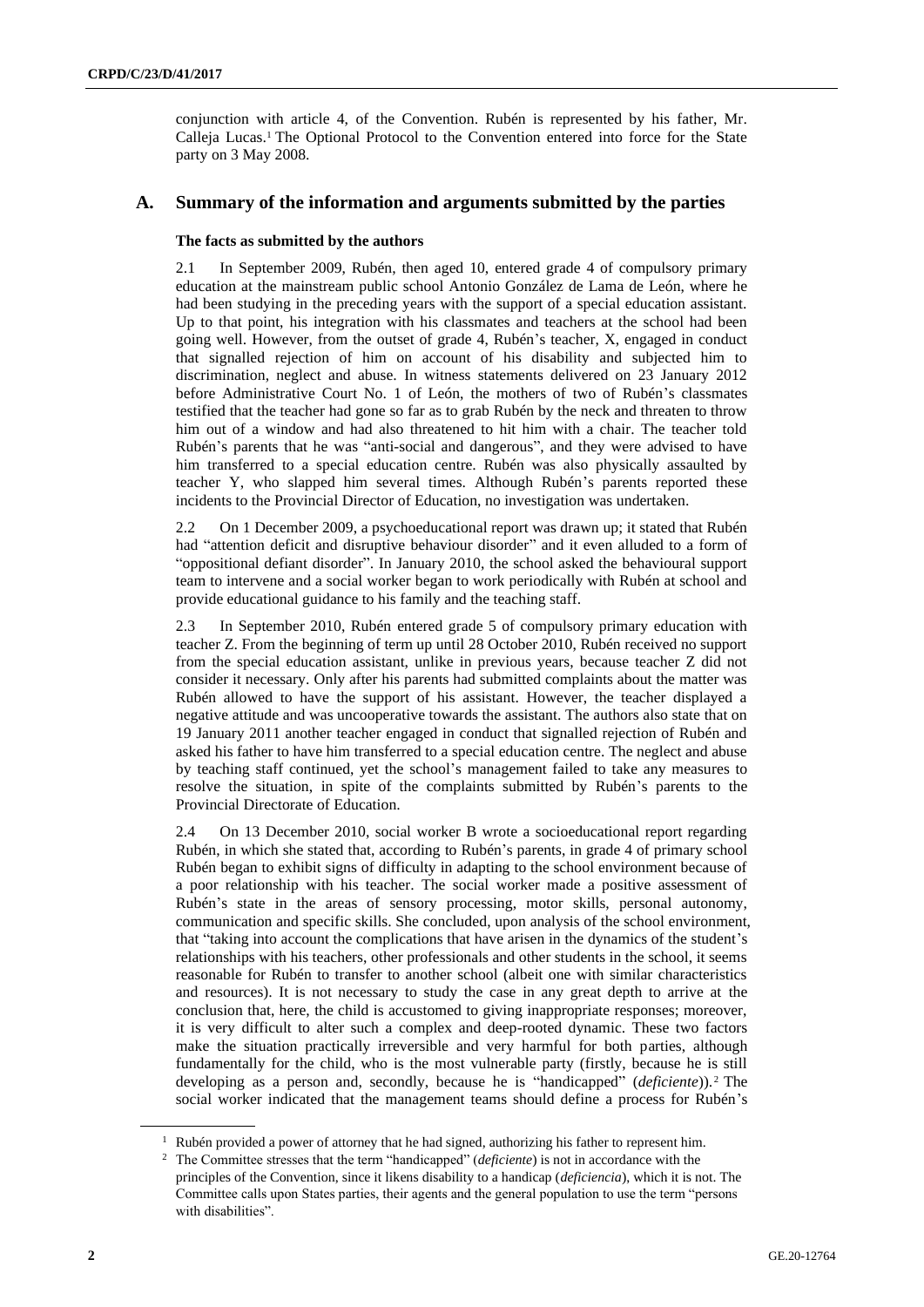conjunction with article 4, of the Convention. Rubén is represented by his father, Mr. Calleja Lucas.<sup>1</sup> The Optional Protocol to the Convention entered into force for the State party on 3 May 2008.

### **A. Summary of the information and arguments submitted by the parties**

#### **The facts as submitted by the authors**

2.1 In September 2009, Rubén, then aged 10, entered grade 4 of compulsory primary education at the mainstream public school Antonio González de Lama de León, where he had been studying in the preceding years with the support of a special education assistant. Up to that point, his integration with his classmates and teachers at the school had been going well. However, from the outset of grade 4, Rubén's teacher, X, engaged in conduct that signalled rejection of him on account of his disability and subjected him to discrimination, neglect and abuse. In witness statements delivered on 23 January 2012 before Administrative Court No. 1 of León, the mothers of two of Rubén's classmates testified that the teacher had gone so far as to grab Rubén by the neck and threaten to throw him out of a window and had also threatened to hit him with a chair. The teacher told Rubén's parents that he was "anti-social and dangerous", and they were advised to have him transferred to a special education centre. Rubén was also physically assaulted by teacher Y, who slapped him several times. Although Rubén's parents reported these incidents to the Provincial Director of Education, no investigation was undertaken.

2.2 On 1 December 2009, a psychoeducational report was drawn up; it stated that Rubén had "attention deficit and disruptive behaviour disorder" and it even alluded to a form of "oppositional defiant disorder". In January 2010, the school asked the behavioural support team to intervene and a social worker began to work periodically with Rubén at school and provide educational guidance to his family and the teaching staff.

2.3 In September 2010, Rubén entered grade 5 of compulsory primary education with teacher Z. From the beginning of term up until 28 October 2010, Rubén received no support from the special education assistant, unlike in previous years, because teacher Z did not consider it necessary. Only after his parents had submitted complaints about the matter was Rubén allowed to have the support of his assistant. However, the teacher displayed a negative attitude and was uncooperative towards the assistant. The authors also state that on 19 January 2011 another teacher engaged in conduct that signalled rejection of Rubén and asked his father to have him transferred to a special education centre. The neglect and abuse by teaching staff continued, yet the school's management failed to take any measures to resolve the situation, in spite of the complaints submitted by Rubén's parents to the Provincial Directorate of Education.

2.4 On 13 December 2010, social worker B wrote a socioeducational report regarding Rubén, in which she stated that, according to Rubén's parents, in grade 4 of primary school Rubén began to exhibit signs of difficulty in adapting to the school environment because of a poor relationship with his teacher. The social worker made a positive assessment of Rubén's state in the areas of sensory processing, motor skills, personal autonomy, communication and specific skills. She concluded, upon analysis of the school environment, that "taking into account the complications that have arisen in the dynamics of the student's relationships with his teachers, other professionals and other students in the school, it seems reasonable for Rubén to transfer to another school (albeit one with similar characteristics and resources). It is not necessary to study the case in any great depth to arrive at the conclusion that, here, the child is accustomed to giving inappropriate responses; moreover, it is very difficult to alter such a complex and deep-rooted dynamic. These two factors make the situation practically irreversible and very harmful for both parties, although fundamentally for the child, who is the most vulnerable party (firstly, because he is still developing as a person and, secondly, because he is "handicapped" (*deficiente*)).<sup>2</sup> The social worker indicated that the management teams should define a process for Rubén's

<sup>&</sup>lt;sup>1</sup> Rubén provided a power of attorney that he had signed, authorizing his father to represent him.

<sup>2</sup> The Committee stresses that the term "handicapped" (*deficiente*) is not in accordance with the principles of the Convention, since it likens disability to a handicap (*deficiencia*), which it is not. The Committee calls upon States parties, their agents and the general population to use the term "persons with disabilities".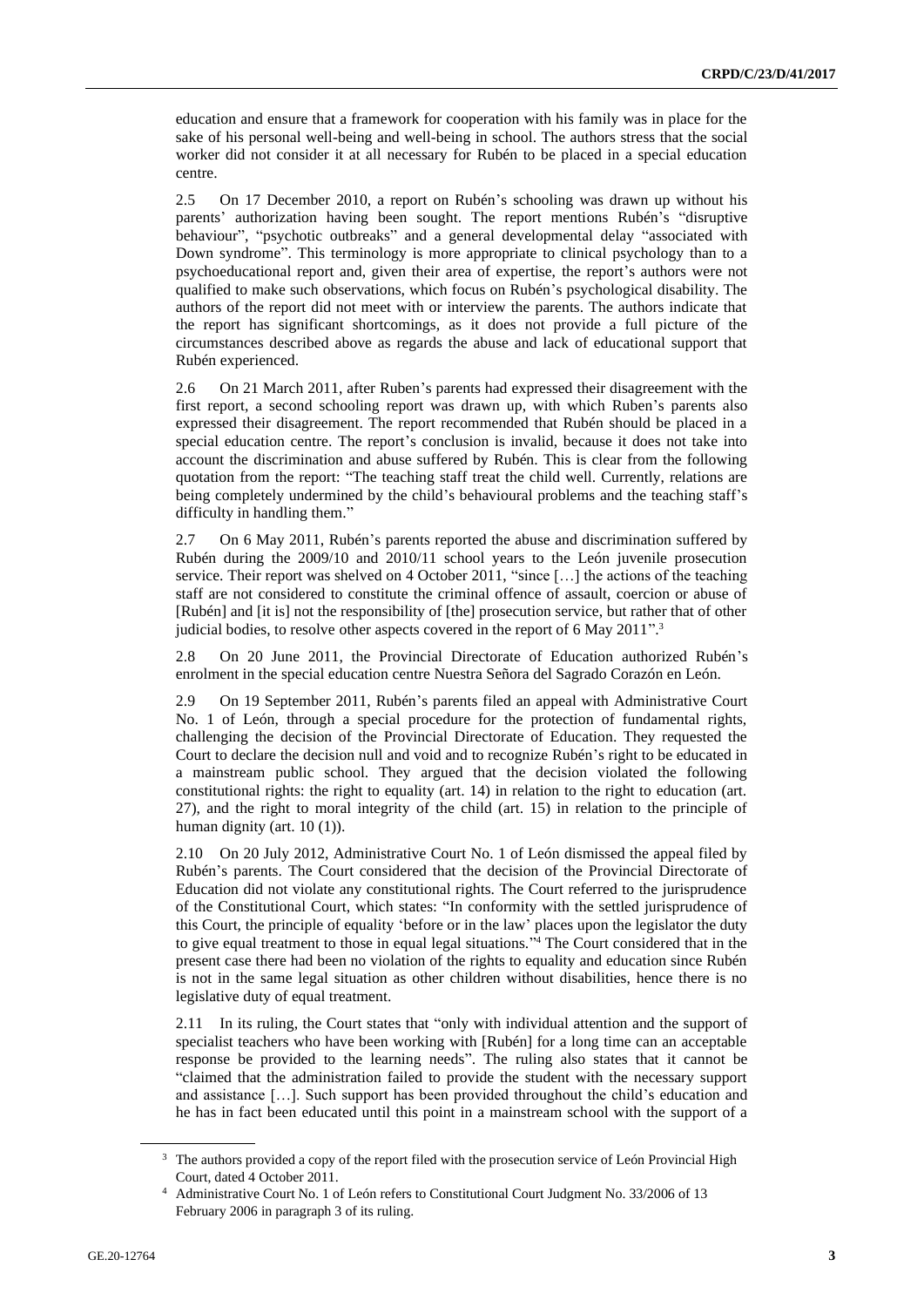education and ensure that a framework for cooperation with his family was in place for the sake of his personal well-being and well-being in school. The authors stress that the social worker did not consider it at all necessary for Rubén to be placed in a special education centre.

2.5 On 17 December 2010, a report on Rubén's schooling was drawn up without his parents' authorization having been sought. The report mentions Rubén's "disruptive behaviour", "psychotic outbreaks" and a general developmental delay "associated with Down syndrome". This terminology is more appropriate to clinical psychology than to a psychoeducational report and, given their area of expertise, the report's authors were not qualified to make such observations, which focus on Rubén's psychological disability. The authors of the report did not meet with or interview the parents. The authors indicate that the report has significant shortcomings, as it does not provide a full picture of the circumstances described above as regards the abuse and lack of educational support that Rubén experienced.

2.6 On 21 March 2011, after Ruben's parents had expressed their disagreement with the first report, a second schooling report was drawn up, with which Ruben's parents also expressed their disagreement. The report recommended that Rubén should be placed in a special education centre. The report's conclusion is invalid, because it does not take into account the discrimination and abuse suffered by Rubén. This is clear from the following quotation from the report: "The teaching staff treat the child well. Currently, relations are being completely undermined by the child's behavioural problems and the teaching staff's difficulty in handling them."

2.7 On 6 May 2011, Rubén's parents reported the abuse and discrimination suffered by Rubén during the 2009/10 and 2010/11 school years to the León juvenile prosecution service. Their report was shelved on 4 October 2011, "since [...] the actions of the teaching staff are not considered to constitute the criminal offence of assault, coercion or abuse of [Rubén] and [it is] not the responsibility of [the] prosecution service, but rather that of other judicial bodies, to resolve other aspects covered in the report of 6 May 2011". 3

2.8 On 20 June 2011, the Provincial Directorate of Education authorized Rubén's enrolment in the special education centre Nuestra Señora del Sagrado Corazón en León.

2.9 On 19 September 2011, Rubén's parents filed an appeal with Administrative Court No. 1 of León, through a special procedure for the protection of fundamental rights, challenging the decision of the Provincial Directorate of Education. They requested the Court to declare the decision null and void and to recognize Rubén's right to be educated in a mainstream public school. They argued that the decision violated the following constitutional rights: the right to equality (art. 14) in relation to the right to education (art. 27), and the right to moral integrity of the child (art. 15) in relation to the principle of human dignity (art. 10 (1)).

2.10 On 20 July 2012, Administrative Court No. 1 of León dismissed the appeal filed by Rubén's parents. The Court considered that the decision of the Provincial Directorate of Education did not violate any constitutional rights. The Court referred to the jurisprudence of the Constitutional Court, which states: "In conformity with the settled jurisprudence of this Court, the principle of equality 'before or in the law' places upon the legislator the duty to give equal treatment to those in equal legal situations." <sup>4</sup> The Court considered that in the present case there had been no violation of the rights to equality and education since Rubén is not in the same legal situation as other children without disabilities, hence there is no legislative duty of equal treatment.

2.11 In its ruling, the Court states that "only with individual attention and the support of specialist teachers who have been working with [Rubén] for a long time can an acceptable response be provided to the learning needs". The ruling also states that it cannot be "claimed that the administration failed to provide the student with the necessary support and assistance […]. Such support has been provided throughout the child's education and he has in fact been educated until this point in a mainstream school with the support of a

The authors provided a copy of the report filed with the prosecution service of León Provincial High Court, dated 4 October 2011.

<sup>4</sup> Administrative Court No. 1 of León refers to Constitutional Court Judgment No. 33/2006 of 13 February 2006 in paragraph 3 of its ruling.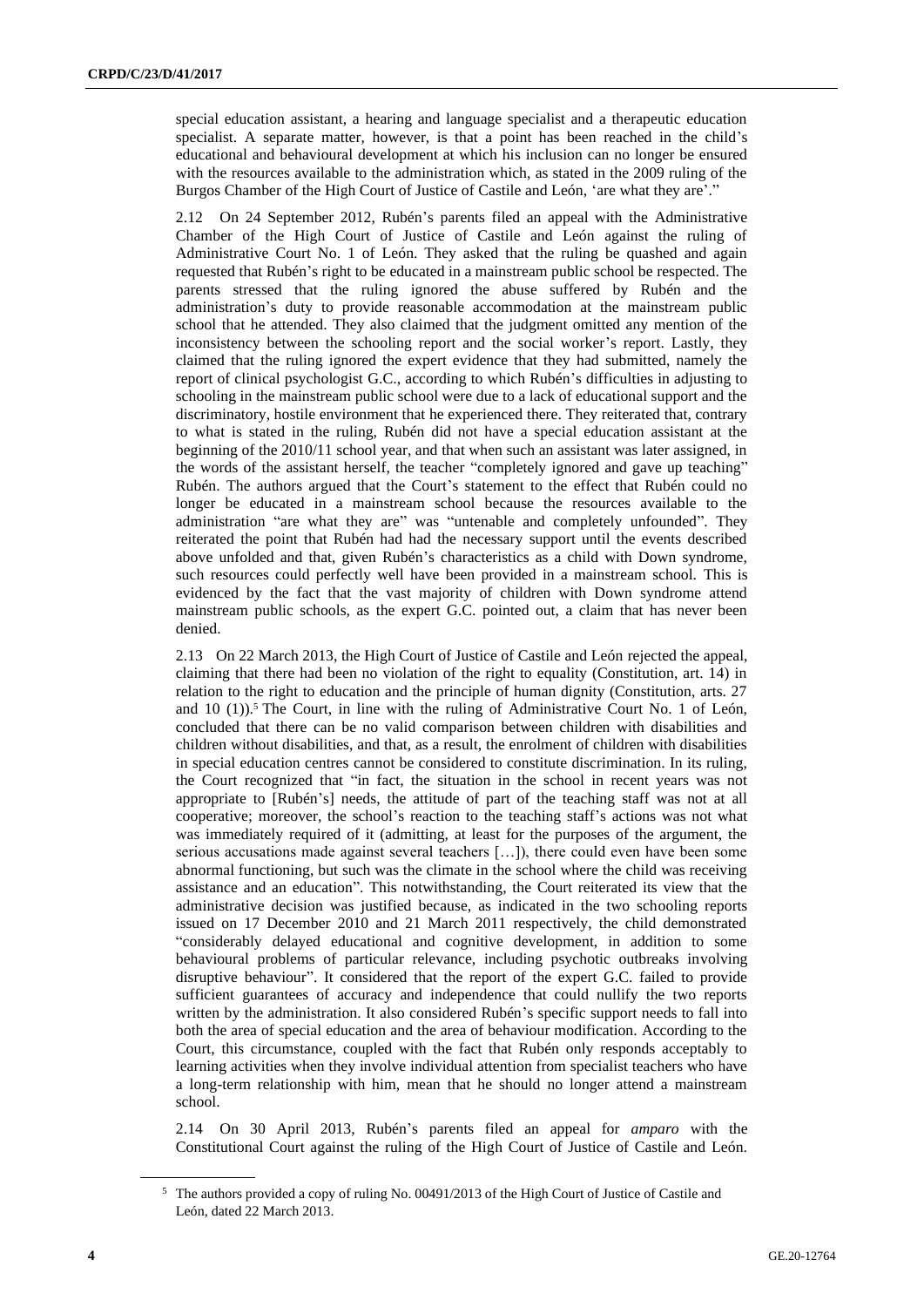special education assistant, a hearing and language specialist and a therapeutic education specialist. A separate matter, however, is that a point has been reached in the child's educational and behavioural development at which his inclusion can no longer be ensured with the resources available to the administration which, as stated in the 2009 ruling of the Burgos Chamber of the High Court of Justice of Castile and León, 'are what they are'."

2.12 On 24 September 2012, Rubén's parents filed an appeal with the Administrative Chamber of the High Court of Justice of Castile and León against the ruling of Administrative Court No. 1 of León. They asked that the ruling be quashed and again requested that Rubén's right to be educated in a mainstream public school be respected. The parents stressed that the ruling ignored the abuse suffered by Rubén and the administration's duty to provide reasonable accommodation at the mainstream public school that he attended. They also claimed that the judgment omitted any mention of the inconsistency between the schooling report and the social worker's report. Lastly, they claimed that the ruling ignored the expert evidence that they had submitted, namely the report of clinical psychologist G.C., according to which Rubén's difficulties in adjusting to schooling in the mainstream public school were due to a lack of educational support and the discriminatory, hostile environment that he experienced there. They reiterated that, contrary to what is stated in the ruling, Rubén did not have a special education assistant at the beginning of the 2010/11 school year, and that when such an assistant was later assigned, in the words of the assistant herself, the teacher "completely ignored and gave up teaching" Rubén. The authors argued that the Court's statement to the effect that Rubén could no longer be educated in a mainstream school because the resources available to the administration "are what they are" was "untenable and completely unfounded". They reiterated the point that Rubén had had the necessary support until the events described above unfolded and that, given Rubén's characteristics as a child with Down syndrome, such resources could perfectly well have been provided in a mainstream school. This is evidenced by the fact that the vast majority of children with Down syndrome attend mainstream public schools, as the expert G.C. pointed out, a claim that has never been denied.

2.13 On 22 March 2013, the High Court of Justice of Castile and León rejected the appeal, claiming that there had been no violation of the right to equality (Constitution, art. 14) in relation to the right to education and the principle of human dignity (Constitution, arts. 27 and  $10$  (1)).<sup>5</sup> The Court, in line with the ruling of Administrative Court No. 1 of León, concluded that there can be no valid comparison between children with disabilities and children without disabilities, and that, as a result, the enrolment of children with disabilities in special education centres cannot be considered to constitute discrimination. In its ruling, the Court recognized that "in fact, the situation in the school in recent years was not appropriate to [Rubén's] needs, the attitude of part of the teaching staff was not at all cooperative; moreover, the school's reaction to the teaching staff's actions was not what was immediately required of it (admitting, at least for the purposes of the argument, the serious accusations made against several teachers […]), there could even have been some abnormal functioning, but such was the climate in the school where the child was receiving assistance and an education". This notwithstanding, the Court reiterated its view that the administrative decision was justified because, as indicated in the two schooling reports issued on 17 December 2010 and 21 March 2011 respectively, the child demonstrated "considerably delayed educational and cognitive development, in addition to some behavioural problems of particular relevance, including psychotic outbreaks involving disruptive behaviour". It considered that the report of the expert G.C. failed to provide sufficient guarantees of accuracy and independence that could nullify the two reports written by the administration. It also considered Rubén's specific support needs to fall into both the area of special education and the area of behaviour modification. According to the Court, this circumstance, coupled with the fact that Rubén only responds acceptably to learning activities when they involve individual attention from specialist teachers who have a long-term relationship with him, mean that he should no longer attend a mainstream school.

2.14 On 30 April 2013, Rubén's parents filed an appeal for *amparo* with the Constitutional Court against the ruling of the High Court of Justice of Castile and León.

<sup>5</sup> The authors provided a copy of ruling No. 00491/2013 of the High Court of Justice of Castile and León, dated 22 March 2013.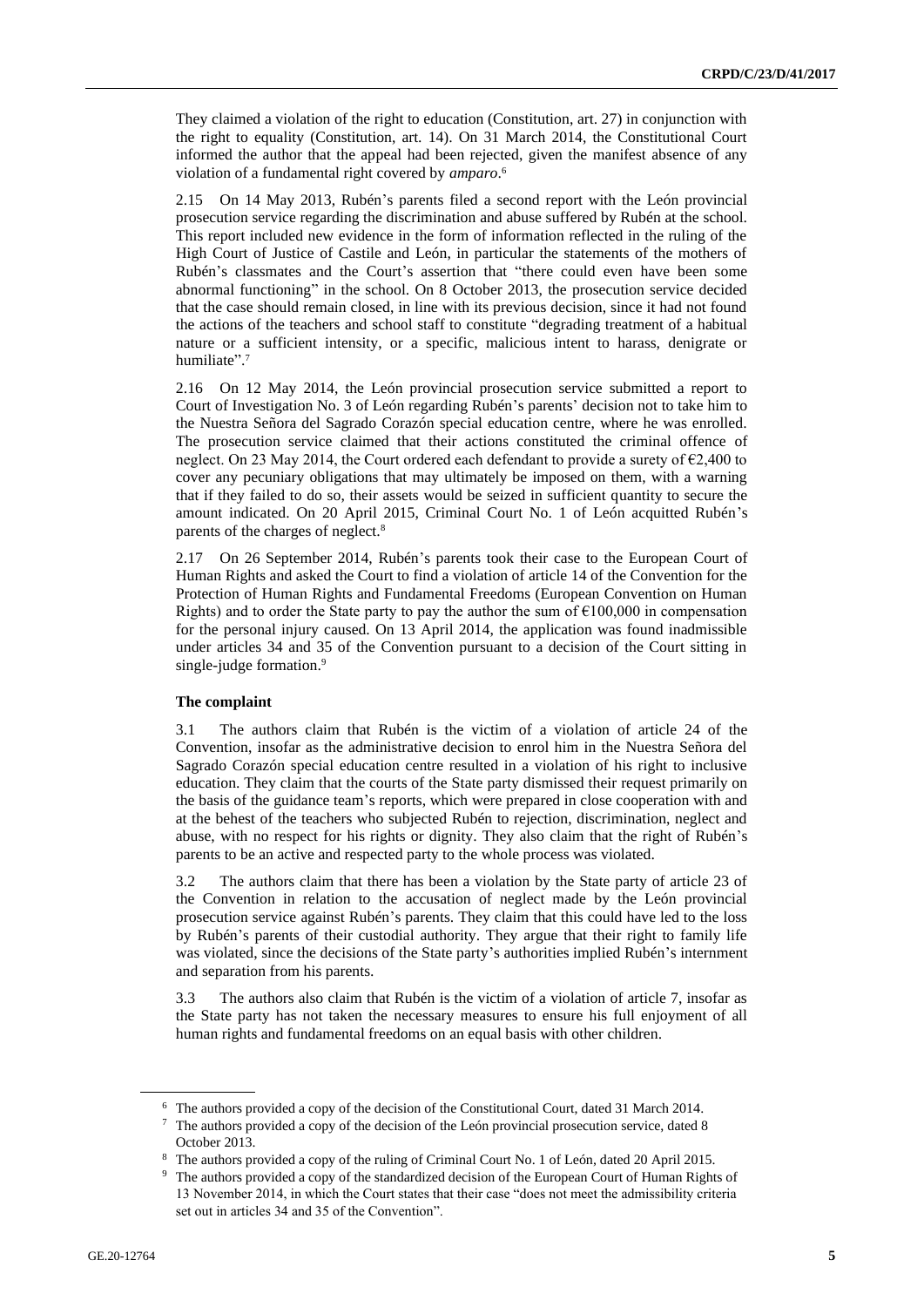They claimed a violation of the right to education (Constitution, art. 27) in conjunction with the right to equality (Constitution, art. 14). On 31 March 2014, the Constitutional Court informed the author that the appeal had been rejected, given the manifest absence of any violation of a fundamental right covered by *amparo*. 6

2.15 On 14 May 2013, Rubén's parents filed a second report with the León provincial prosecution service regarding the discrimination and abuse suffered by Rubén at the school. This report included new evidence in the form of information reflected in the ruling of the High Court of Justice of Castile and León, in particular the statements of the mothers of Rubén's classmates and the Court's assertion that "there could even have been some abnormal functioning" in the school. On 8 October 2013, the prosecution service decided that the case should remain closed, in line with its previous decision, since it had not found the actions of the teachers and school staff to constitute "degrading treatment of a habitual nature or a sufficient intensity, or a specific, malicious intent to harass, denigrate or humiliate".<sup>7</sup>

2.16 On 12 May 2014, the León provincial prosecution service submitted a report to Court of Investigation No. 3 of León regarding Rubén's parents' decision not to take him to the Nuestra Señora del Sagrado Corazón special education centre, where he was enrolled. The prosecution service claimed that their actions constituted the criminal offence of neglect. On 23 May 2014, the Court ordered each defendant to provide a surety of €2,400 to cover any pecuniary obligations that may ultimately be imposed on them, with a warning that if they failed to do so, their assets would be seized in sufficient quantity to secure the amount indicated. On 20 April 2015, Criminal Court No. 1 of León acquitted Rubén's parents of the charges of neglect.<sup>8</sup>

2.17 On 26 September 2014, Rubén's parents took their case to the European Court of Human Rights and asked the Court to find a violation of article 14 of the Convention for the Protection of Human Rights and Fundamental Freedoms (European Convention on Human Rights) and to order the State party to pay the author the sum of  $\epsilon$ 100,000 in compensation for the personal injury caused. On 13 April 2014, the application was found inadmissible under articles 34 and 35 of the Convention pursuant to a decision of the Court sitting in single-judge formation.<sup>9</sup>

#### **The complaint**

3.1 The authors claim that Rubén is the victim of a violation of article 24 of the Convention, insofar as the administrative decision to enrol him in the Nuestra Señora del Sagrado Corazón special education centre resulted in a violation of his right to inclusive education. They claim that the courts of the State party dismissed their request primarily on the basis of the guidance team's reports, which were prepared in close cooperation with and at the behest of the teachers who subjected Rubén to rejection, discrimination, neglect and abuse, with no respect for his rights or dignity. They also claim that the right of Rubén's parents to be an active and respected party to the whole process was violated.

3.2 The authors claim that there has been a violation by the State party of article 23 of the Convention in relation to the accusation of neglect made by the León provincial prosecution service against Rubén's parents. They claim that this could have led to the loss by Rubén's parents of their custodial authority. They argue that their right to family life was violated, since the decisions of the State party's authorities implied Rubén's internment and separation from his parents.

3.3 The authors also claim that Rubén is the victim of a violation of article 7, insofar as the State party has not taken the necessary measures to ensure his full enjoyment of all human rights and fundamental freedoms on an equal basis with other children.

<sup>6</sup> The authors provided a copy of the decision of the Constitutional Court, dated 31 March 2014.

<sup>7</sup> The authors provided a copy of the decision of the León provincial prosecution service, dated 8 October 2013.

<sup>8</sup> The authors provided a copy of the ruling of Criminal Court No. 1 of León, dated 20 April 2015.

<sup>9</sup> The authors provided a copy of the standardized decision of the European Court of Human Rights of 13 November 2014, in which the Court states that their case "does not meet the admissibility criteria set out in articles 34 and 35 of the Convention".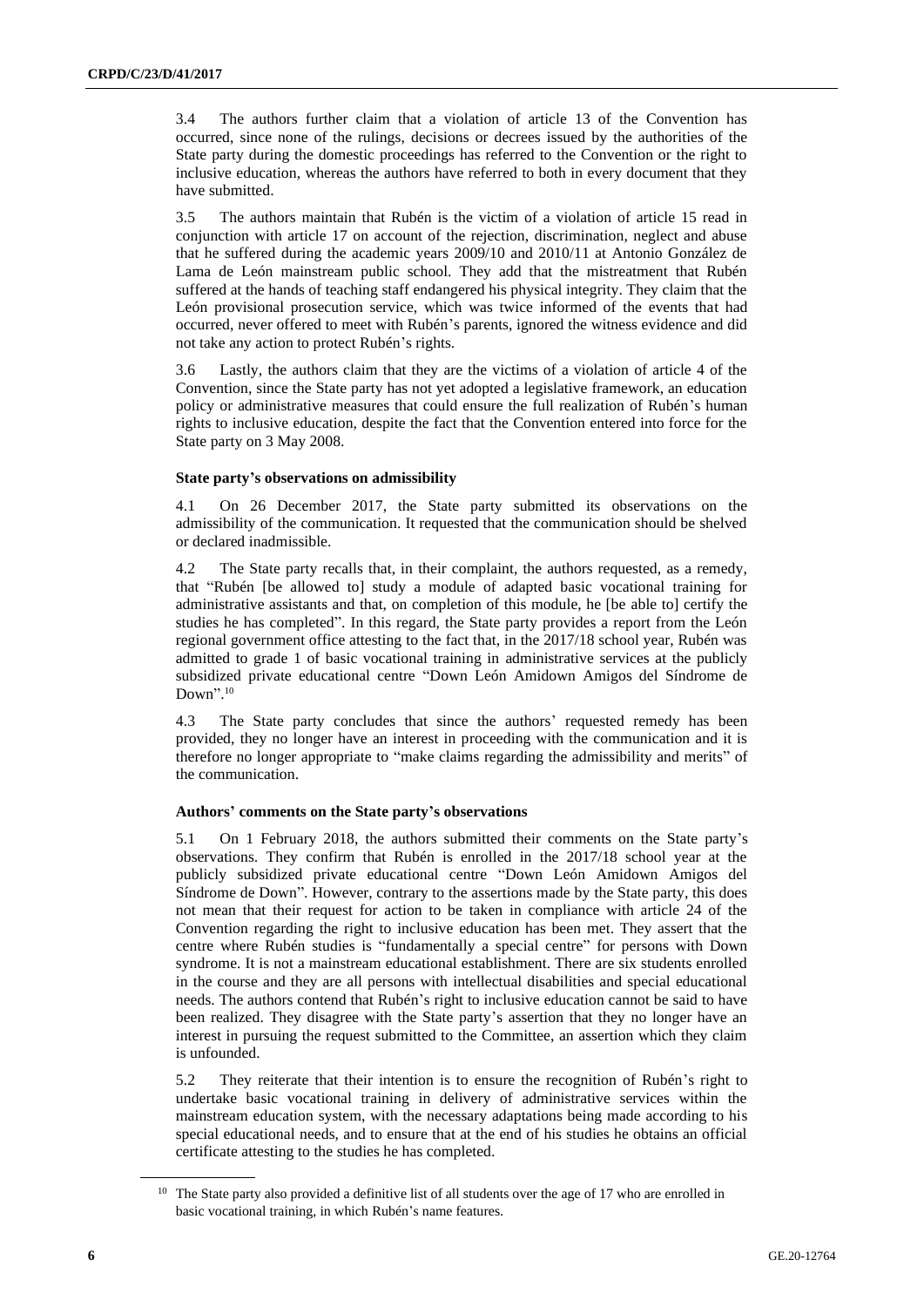3.4 The authors further claim that a violation of article 13 of the Convention has occurred, since none of the rulings, decisions or decrees issued by the authorities of the State party during the domestic proceedings has referred to the Convention or the right to inclusive education, whereas the authors have referred to both in every document that they have submitted.

3.5 The authors maintain that Rubén is the victim of a violation of article 15 read in conjunction with article 17 on account of the rejection, discrimination, neglect and abuse that he suffered during the academic years 2009/10 and 2010/11 at Antonio González de Lama de León mainstream public school. They add that the mistreatment that Rubén suffered at the hands of teaching staff endangered his physical integrity. They claim that the León provisional prosecution service, which was twice informed of the events that had occurred, never offered to meet with Rubén's parents, ignored the witness evidence and did not take any action to protect Rubén's rights.

3.6 Lastly, the authors claim that they are the victims of a violation of article 4 of the Convention, since the State party has not yet adopted a legislative framework, an education policy or administrative measures that could ensure the full realization of Rubén's human rights to inclusive education, despite the fact that the Convention entered into force for the State party on 3 May 2008.

#### **State party's observations on admissibility**

4.1 On 26 December 2017, the State party submitted its observations on the admissibility of the communication. It requested that the communication should be shelved or declared inadmissible.

4.2 The State party recalls that, in their complaint, the authors requested, as a remedy, that "Rubén [be allowed to] study a module of adapted basic vocational training for administrative assistants and that, on completion of this module, he [be able to] certify the studies he has completed". In this regard, the State party provides a report from the León regional government office attesting to the fact that, in the 2017/18 school year, Rubén was admitted to grade 1 of basic vocational training in administrative services at the publicly subsidized private educational centre "Down León Amidown Amigos del Síndrome de Down". 10

4.3 The State party concludes that since the authors' requested remedy has been provided, they no longer have an interest in proceeding with the communication and it is therefore no longer appropriate to "make claims regarding the admissibility and merits" of the communication.

#### **Authors' comments on the State party's observations**

5.1 On 1 February 2018, the authors submitted their comments on the State party's observations. They confirm that Rubén is enrolled in the 2017/18 school year at the publicly subsidized private educational centre "Down León Amidown Amigos del Síndrome de Down". However, contrary to the assertions made by the State party, this does not mean that their request for action to be taken in compliance with article 24 of the Convention regarding the right to inclusive education has been met. They assert that the centre where Rubén studies is "fundamentally a special centre" for persons with Down syndrome. It is not a mainstream educational establishment. There are six students enrolled in the course and they are all persons with intellectual disabilities and special educational needs. The authors contend that Rubén's right to inclusive education cannot be said to have been realized. They disagree with the State party's assertion that they no longer have an interest in pursuing the request submitted to the Committee, an assertion which they claim is unfounded.

5.2 They reiterate that their intention is to ensure the recognition of Rubén's right to undertake basic vocational training in delivery of administrative services within the mainstream education system, with the necessary adaptations being made according to his special educational needs, and to ensure that at the end of his studies he obtains an official certificate attesting to the studies he has completed.

<sup>&</sup>lt;sup>10</sup> The State party also provided a definitive list of all students over the age of 17 who are enrolled in basic vocational training, in which Rubén's name features.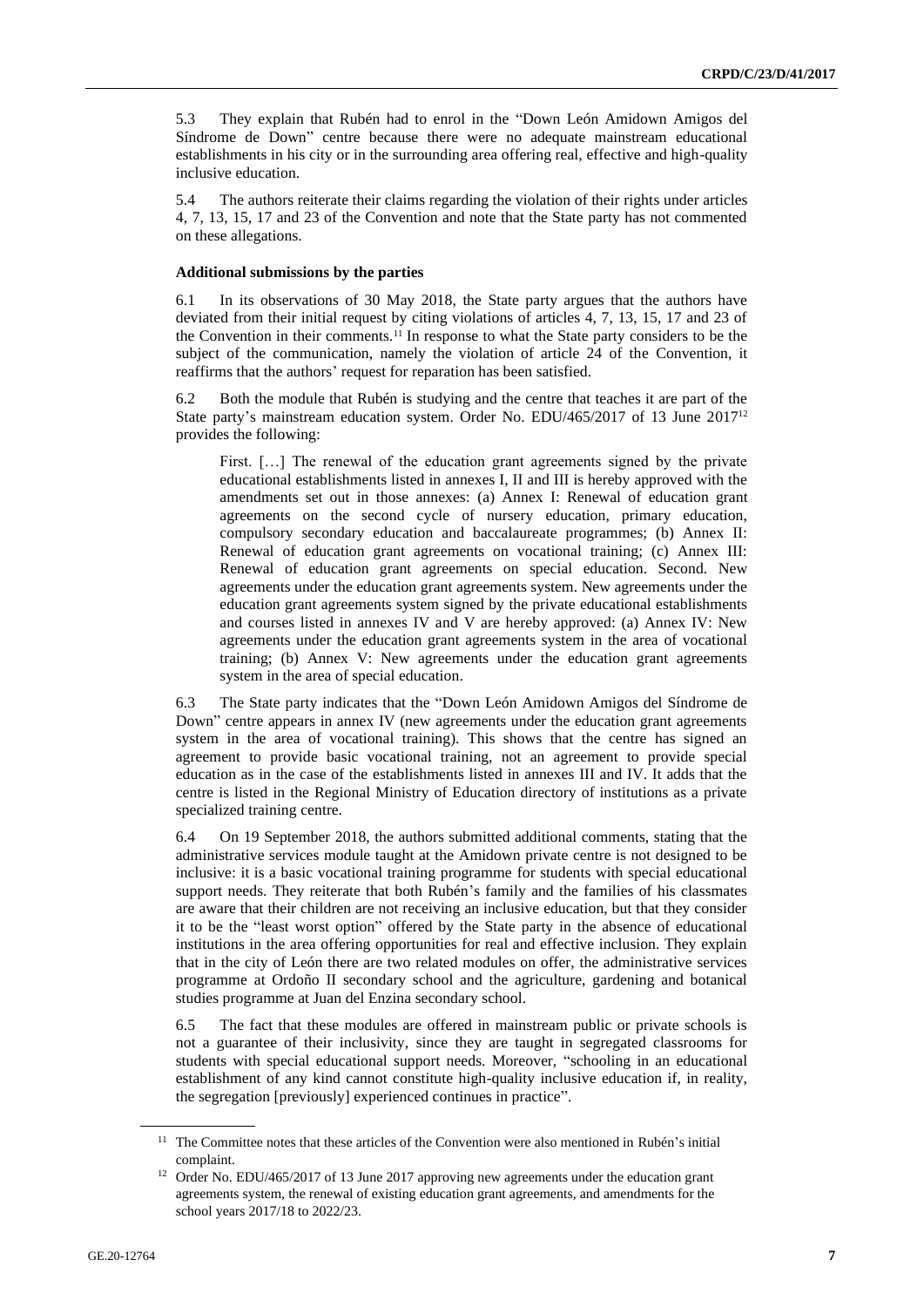5.3 They explain that Rubén had to enrol in the "Down León Amidown Amigos del Síndrome de Down" centre because there were no adequate mainstream educational establishments in his city or in the surrounding area offering real, effective and high-quality inclusive education.

5.4 The authors reiterate their claims regarding the violation of their rights under articles 4, 7, 13, 15, 17 and 23 of the Convention and note that the State party has not commented on these allegations.

#### **Additional submissions by the parties**

6.1 In its observations of 30 May 2018, the State party argues that the authors have deviated from their initial request by citing violations of articles 4, 7, 13, 15, 17 and 23 of the Convention in their comments.<sup>11</sup> In response to what the State party considers to be the subject of the communication, namely the violation of article 24 of the Convention, it reaffirms that the authors' request for reparation has been satisfied.

6.2 Both the module that Rubén is studying and the centre that teaches it are part of the State party's mainstream education system. Order No. EDU/465/2017 of 13 June 2017<sup>12</sup> provides the following:

First. [...] The renewal of the education grant agreements signed by the private educational establishments listed in annexes I, II and III is hereby approved with the amendments set out in those annexes: (a) Annex I: Renewal of education grant agreements on the second cycle of nursery education, primary education, compulsory secondary education and baccalaureate programmes; (b) Annex II: Renewal of education grant agreements on vocational training; (c) Annex III: Renewal of education grant agreements on special education. Second. New agreements under the education grant agreements system. New agreements under the education grant agreements system signed by the private educational establishments and courses listed in annexes IV and V are hereby approved: (a) Annex IV: New agreements under the education grant agreements system in the area of vocational training; (b) Annex V: New agreements under the education grant agreements system in the area of special education.

6.3 The State party indicates that the "Down León Amidown Amigos del Síndrome de Down" centre appears in annex IV (new agreements under the education grant agreements system in the area of vocational training). This shows that the centre has signed an agreement to provide basic vocational training, not an agreement to provide special education as in the case of the establishments listed in annexes III and IV. It adds that the centre is listed in the Regional Ministry of Education directory of institutions as a private specialized training centre.

6.4 On 19 September 2018, the authors submitted additional comments, stating that the administrative services module taught at the Amidown private centre is not designed to be inclusive: it is a basic vocational training programme for students with special educational support needs. They reiterate that both Rubén's family and the families of his classmates are aware that their children are not receiving an inclusive education, but that they consider it to be the "least worst option" offered by the State party in the absence of educational institutions in the area offering opportunities for real and effective inclusion. They explain that in the city of León there are two related modules on offer, the administrative services programme at Ordoño II secondary school and the agriculture, gardening and botanical studies programme at Juan del Enzina secondary school.

6.5 The fact that these modules are offered in mainstream public or private schools is not a guarantee of their inclusivity, since they are taught in segregated classrooms for students with special educational support needs. Moreover, "schooling in an educational establishment of any kind cannot constitute high-quality inclusive education if, in reality, the segregation [previously] experienced continues in practice".

<sup>&</sup>lt;sup>11</sup> The Committee notes that these articles of the Convention were also mentioned in Rubén's initial complaint.

<sup>&</sup>lt;sup>12</sup> Order No. EDU/465/2017 of 13 June 2017 approving new agreements under the education grant agreements system, the renewal of existing education grant agreements, and amendments for the school years 2017/18 to 2022/23.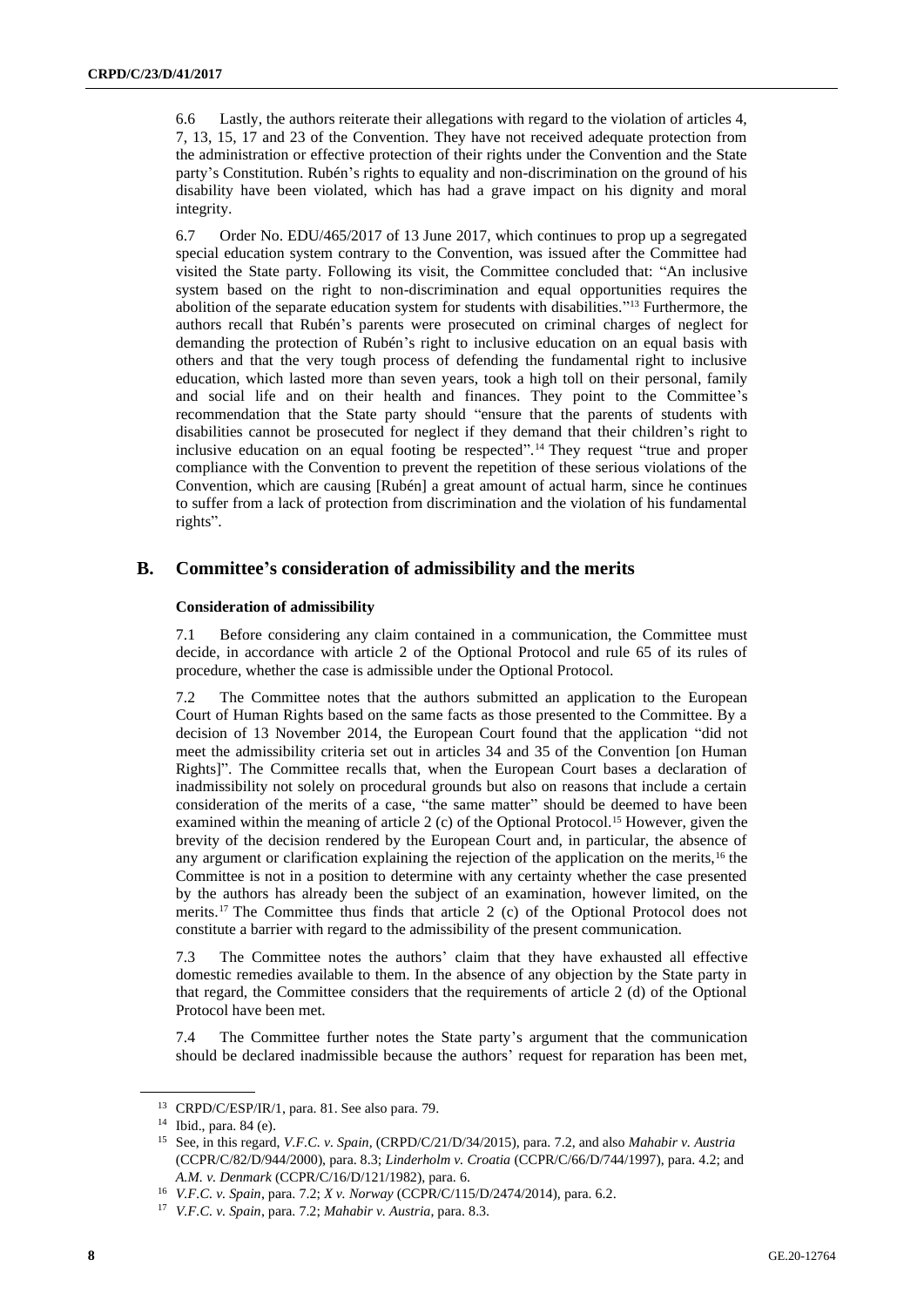6.6 Lastly, the authors reiterate their allegations with regard to the violation of articles 4, 7, 13, 15, 17 and 23 of the Convention. They have not received adequate protection from the administration or effective protection of their rights under the Convention and the State party's Constitution. Rubén's rights to equality and non-discrimination on the ground of his disability have been violated, which has had a grave impact on his dignity and moral integrity.

6.7 Order No. EDU/465/2017 of 13 June 2017, which continues to prop up a segregated special education system contrary to the Convention, was issued after the Committee had visited the State party. Following its visit, the Committee concluded that: "An inclusive system based on the right to non-discrimination and equal opportunities requires the abolition of the separate education system for students with disabilities." <sup>13</sup> Furthermore, the authors recall that Rubén's parents were prosecuted on criminal charges of neglect for demanding the protection of Rubén's right to inclusive education on an equal basis with others and that the very tough process of defending the fundamental right to inclusive education, which lasted more than seven years, took a high toll on their personal, family and social life and on their health and finances. They point to the Committee's recommendation that the State party should "ensure that the parents of students with disabilities cannot be prosecuted for neglect if they demand that their children's right to inclusive education on an equal footing be respected". <sup>14</sup> They request "true and proper compliance with the Convention to prevent the repetition of these serious violations of the Convention, which are causing [Rubén] a great amount of actual harm, since he continues to suffer from a lack of protection from discrimination and the violation of his fundamental rights".

## **B. Committee's consideration of admissibility and the merits**

#### **Consideration of admissibility**

7.1 Before considering any claim contained in a communication, the Committee must decide, in accordance with article 2 of the Optional Protocol and rule 65 of its rules of procedure, whether the case is admissible under the Optional Protocol.

7.2 The Committee notes that the authors submitted an application to the European Court of Human Rights based on the same facts as those presented to the Committee. By a decision of 13 November 2014, the European Court found that the application "did not meet the admissibility criteria set out in articles 34 and 35 of the Convention [on Human Rights]". The Committee recalls that, when the European Court bases a declaration of inadmissibility not solely on procedural grounds but also on reasons that include a certain consideration of the merits of a case, "the same matter" should be deemed to have been examined within the meaning of article 2 (c) of the Optional Protocol.<sup>15</sup> However, given the brevity of the decision rendered by the European Court and, in particular, the absence of any argument or clarification explaining the rejection of the application on the merits, $16$  the Committee is not in a position to determine with any certainty whether the case presented by the authors has already been the subject of an examination, however limited, on the merits.<sup>17</sup> The Committee thus finds that article 2 (c) of the Optional Protocol does not constitute a barrier with regard to the admissibility of the present communication.

7.3 The Committee notes the authors' claim that they have exhausted all effective domestic remedies available to them. In the absence of any objection by the State party in that regard, the Committee considers that the requirements of article 2 (d) of the Optional Protocol have been met.

7.4 The Committee further notes the State party's argument that the communication should be declared inadmissible because the authors' request for reparation has been met,

<sup>13</sup> CRPD/C/ESP/IR/1, para. 81. See also para. 79.

<sup>14</sup> Ibid., para. 84 (e).

<sup>15</sup> See, in this regard, *V.F.C. v. Spain*, (CRPD/C/21/D/34/2015), para. 7.2, and also *Mahabir v. Austria* (CCPR/C/82/D/944/2000), para. 8.3; *Linderholm v. Croatia* (CCPR/C/66/D/744/1997), para. 4.2; and *A.M. v. Denmark* (CCPR/C/16/D/121/1982), para. 6.

<sup>16</sup> *V.F.C. v. Spain*, para. 7.2; *X v. Norway* (CCPR/C/115/D/2474/2014), para. 6.2.

<sup>17</sup> *V.F.C. v. Spain*, para. 7.2; *Mahabir v. Austria*, para. 8.3.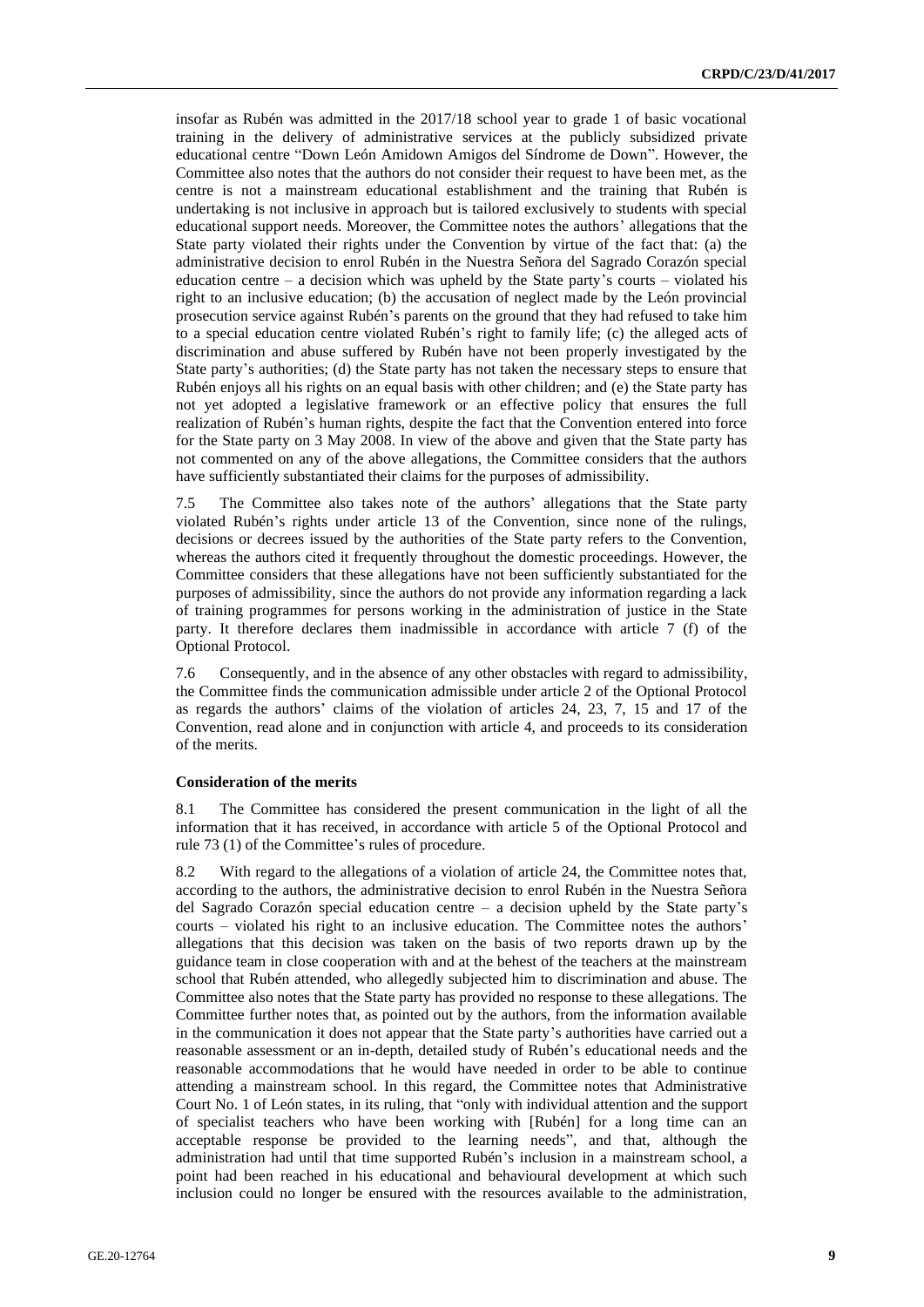insofar as Rubén was admitted in the 2017/18 school year to grade 1 of basic vocational training in the delivery of administrative services at the publicly subsidized private educational centre "Down León Amidown Amigos del Síndrome de Down". However, the Committee also notes that the authors do not consider their request to have been met, as the centre is not a mainstream educational establishment and the training that Rubén is undertaking is not inclusive in approach but is tailored exclusively to students with special educational support needs. Moreover, the Committee notes the authors' allegations that the State party violated their rights under the Convention by virtue of the fact that: (a) the administrative decision to enrol Rubén in the Nuestra Señora del Sagrado Corazón special education centre – a decision which was upheld by the State party's courts – violated his right to an inclusive education; (b) the accusation of neglect made by the León provincial prosecution service against Rubén's parents on the ground that they had refused to take him to a special education centre violated Rubén's right to family life; (c) the alleged acts of discrimination and abuse suffered by Rubén have not been properly investigated by the State party's authorities; (d) the State party has not taken the necessary steps to ensure that Rubén enjoys all his rights on an equal basis with other children; and (e) the State party has not yet adopted a legislative framework or an effective policy that ensures the full realization of Rubén's human rights, despite the fact that the Convention entered into force for the State party on 3 May 2008. In view of the above and given that the State party has not commented on any of the above allegations, the Committee considers that the authors have sufficiently substantiated their claims for the purposes of admissibility.

7.5 The Committee also takes note of the authors' allegations that the State party violated Rubén's rights under article 13 of the Convention, since none of the rulings, decisions or decrees issued by the authorities of the State party refers to the Convention, whereas the authors cited it frequently throughout the domestic proceedings. However, the Committee considers that these allegations have not been sufficiently substantiated for the purposes of admissibility, since the authors do not provide any information regarding a lack of training programmes for persons working in the administration of justice in the State party. It therefore declares them inadmissible in accordance with article 7 (f) of the Optional Protocol.

7.6 Consequently, and in the absence of any other obstacles with regard to admissibility, the Committee finds the communication admissible under article 2 of the Optional Protocol as regards the authors' claims of the violation of articles 24, 23, 7, 15 and 17 of the Convention, read alone and in conjunction with article 4, and proceeds to its consideration of the merits.

#### **Consideration of the merits**

8.1 The Committee has considered the present communication in the light of all the information that it has received, in accordance with article 5 of the Optional Protocol and rule 73 (1) of the Committee's rules of procedure.

8.2 With regard to the allegations of a violation of article 24, the Committee notes that, according to the authors, the administrative decision to enrol Rubén in the Nuestra Señora del Sagrado Corazón special education centre – a decision upheld by the State party's courts – violated his right to an inclusive education. The Committee notes the authors' allegations that this decision was taken on the basis of two reports drawn up by the guidance team in close cooperation with and at the behest of the teachers at the mainstream school that Rubén attended, who allegedly subjected him to discrimination and abuse. The Committee also notes that the State party has provided no response to these allegations. The Committee further notes that, as pointed out by the authors, from the information available in the communication it does not appear that the State party's authorities have carried out a reasonable assessment or an in-depth, detailed study of Rubén's educational needs and the reasonable accommodations that he would have needed in order to be able to continue attending a mainstream school. In this regard, the Committee notes that Administrative Court No. 1 of León states, in its ruling, that "only with individual attention and the support of specialist teachers who have been working with [Rubén] for a long time can an acceptable response be provided to the learning needs", and that, although the administration had until that time supported Rubén's inclusion in a mainstream school, a point had been reached in his educational and behavioural development at which such inclusion could no longer be ensured with the resources available to the administration,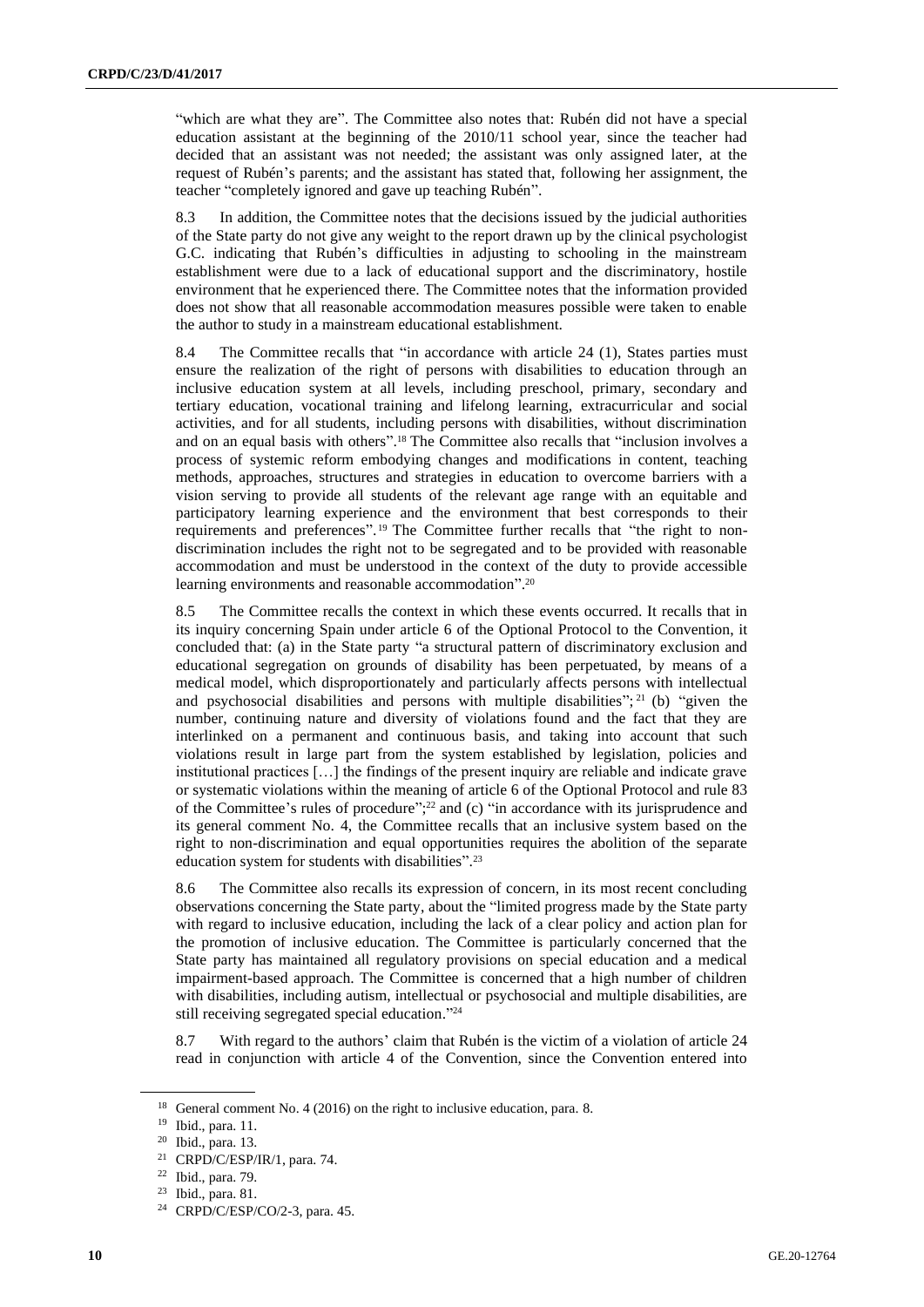"which are what they are". The Committee also notes that: Rubén did not have a special education assistant at the beginning of the 2010/11 school year, since the teacher had decided that an assistant was not needed; the assistant was only assigned later, at the request of Rubén's parents; and the assistant has stated that, following her assignment, the teacher "completely ignored and gave up teaching Rubén".

8.3 In addition, the Committee notes that the decisions issued by the judicial authorities of the State party do not give any weight to the report drawn up by the clinical psychologist G.C. indicating that Rubén's difficulties in adjusting to schooling in the mainstream establishment were due to a lack of educational support and the discriminatory, hostile environment that he experienced there. The Committee notes that the information provided does not show that all reasonable accommodation measures possible were taken to enable the author to study in a mainstream educational establishment.

8.4 The Committee recalls that "in accordance with article 24 (1), States parties must ensure the realization of the right of persons with disabilities to education through an inclusive education system at all levels, including preschool, primary, secondary and tertiary education, vocational training and lifelong learning, extracurricular and social activities, and for all students, including persons with disabilities, without discrimination and on an equal basis with others". <sup>18</sup> The Committee also recalls that "inclusion involves a process of systemic reform embodying changes and modifications in content, teaching methods, approaches, structures and strategies in education to overcome barriers with a vision serving to provide all students of the relevant age range with an equitable and participatory learning experience and the environment that best corresponds to their requirements and preferences".<sup>19</sup> The Committee further recalls that "the right to nondiscrimination includes the right not to be segregated and to be provided with reasonable accommodation and must be understood in the context of the duty to provide accessible learning environments and reasonable accommodation". 20

8.5 The Committee recalls the context in which these events occurred. It recalls that in its inquiry concerning Spain under article 6 of the Optional Protocol to the Convention, it concluded that: (a) in the State party "a structural pattern of discriminatory exclusion and educational segregation on grounds of disability has been perpetuated, by means of a medical model, which disproportionately and particularly affects persons with intellectual and psychosocial disabilities and persons with multiple disabilities";  $2^{1}$  (b) "given the number, continuing nature and diversity of violations found and the fact that they are interlinked on a permanent and continuous basis, and taking into account that such violations result in large part from the system established by legislation, policies and institutional practices […] the findings of the present inquiry are reliable and indicate grave or systematic violations within the meaning of article 6 of the Optional Protocol and rule 83 of the Committee's rules of procedure"; <sup>22</sup> and (c) "in accordance with its jurisprudence and its general comment No. 4, the Committee recalls that an inclusive system based on the right to non-discrimination and equal opportunities requires the abolition of the separate education system for students with disabilities".<sup>23</sup>

8.6 The Committee also recalls its expression of concern, in its most recent concluding observations concerning the State party, about the "limited progress made by the State party with regard to inclusive education, including the lack of a clear policy and action plan for the promotion of inclusive education. The Committee is particularly concerned that the State party has maintained all regulatory provisions on special education and a medical impairment-based approach. The Committee is concerned that a high number of children with disabilities, including autism, intellectual or psychosocial and multiple disabilities, are still receiving segregated special education." 24

8.7 With regard to the authors' claim that Rubén is the victim of a violation of article 24 read in conjunction with article 4 of the Convention, since the Convention entered into

<sup>18</sup> General comment No. 4 (2016) on the right to inclusive education, para. 8.

<sup>19</sup> Ibid., para. 11.

<sup>20</sup> Ibid., para. 13.

<sup>21</sup> CRPD/C/ESP/IR/1, para. 74.

<sup>22</sup> Ibid., para. 79.

<sup>23</sup> Ibid., para. 81.

<sup>24</sup> CRPD/C/ESP/CO/2-3, para. 45.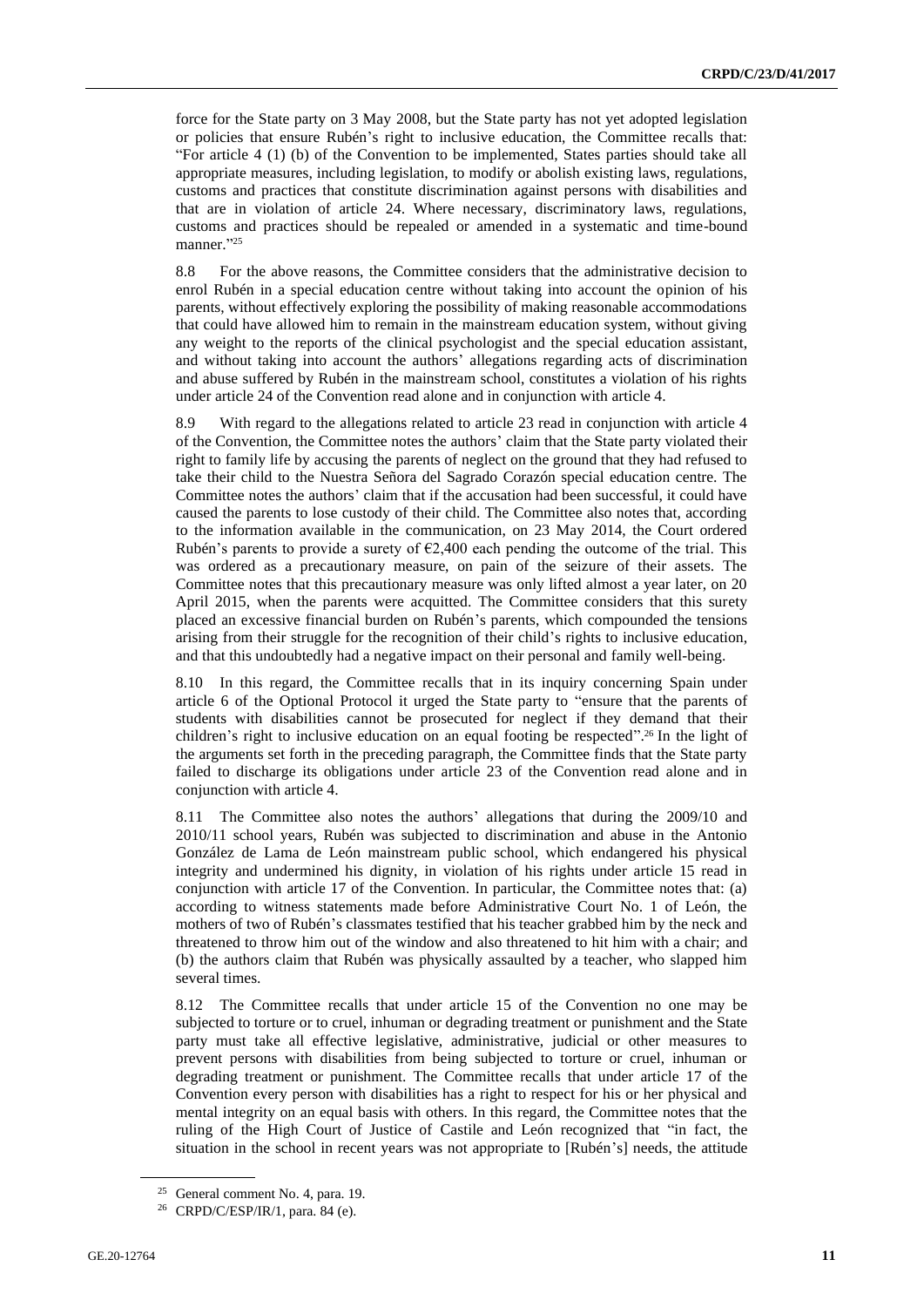force for the State party on 3 May 2008, but the State party has not yet adopted legislation or policies that ensure Rubén's right to inclusive education, the Committee recalls that: "For article 4 (1) (b) of the Convention to be implemented, States parties should take all appropriate measures, including legislation, to modify or abolish existing laws, regulations, customs and practices that constitute discrimination against persons with disabilities and that are in violation of article 24. Where necessary, discriminatory laws, regulations, customs and practices should be repealed or amended in a systematic and time-bound manner." 25

8.8 For the above reasons, the Committee considers that the administrative decision to enrol Rubén in a special education centre without taking into account the opinion of his parents, without effectively exploring the possibility of making reasonable accommodations that could have allowed him to remain in the mainstream education system, without giving any weight to the reports of the clinical psychologist and the special education assistant, and without taking into account the authors' allegations regarding acts of discrimination and abuse suffered by Rubén in the mainstream school, constitutes a violation of his rights under article 24 of the Convention read alone and in conjunction with article 4.

8.9 With regard to the allegations related to article 23 read in conjunction with article 4 of the Convention, the Committee notes the authors' claim that the State party violated their right to family life by accusing the parents of neglect on the ground that they had refused to take their child to the Nuestra Señora del Sagrado Corazón special education centre. The Committee notes the authors' claim that if the accusation had been successful, it could have caused the parents to lose custody of their child. The Committee also notes that, according to the information available in the communication, on 23 May 2014, the Court ordered Rubén's parents to provide a surety of  $\epsilon$ 2,400 each pending the outcome of the trial. This was ordered as a precautionary measure, on pain of the seizure of their assets. The Committee notes that this precautionary measure was only lifted almost a year later, on 20 April 2015, when the parents were acquitted. The Committee considers that this surety placed an excessive financial burden on Rubén's parents, which compounded the tensions arising from their struggle for the recognition of their child's rights to inclusive education, and that this undoubtedly had a negative impact on their personal and family well-being.

8.10 In this regard, the Committee recalls that in its inquiry concerning Spain under article 6 of the Optional Protocol it urged the State party to "ensure that the parents of students with disabilities cannot be prosecuted for neglect if they demand that their children's right to inclusive education on an equal footing be respected".<sup>26</sup> In the light of the arguments set forth in the preceding paragraph, the Committee finds that the State party failed to discharge its obligations under article 23 of the Convention read alone and in conjunction with article 4.

8.11 The Committee also notes the authors' allegations that during the 2009/10 and 2010/11 school years, Rubén was subjected to discrimination and abuse in the Antonio González de Lama de León mainstream public school, which endangered his physical integrity and undermined his dignity, in violation of his rights under article 15 read in conjunction with article 17 of the Convention. In particular, the Committee notes that: (a) according to witness statements made before Administrative Court No. 1 of León, the mothers of two of Rubén's classmates testified that his teacher grabbed him by the neck and threatened to throw him out of the window and also threatened to hit him with a chair; and (b) the authors claim that Rubén was physically assaulted by a teacher, who slapped him several times.

8.12 The Committee recalls that under article 15 of the Convention no one may be subjected to torture or to cruel, inhuman or degrading treatment or punishment and the State party must take all effective legislative, administrative, judicial or other measures to prevent persons with disabilities from being subjected to torture or cruel, inhuman or degrading treatment or punishment. The Committee recalls that under article 17 of the Convention every person with disabilities has a right to respect for his or her physical and mental integrity on an equal basis with others. In this regard, the Committee notes that the ruling of the High Court of Justice of Castile and León recognized that "in fact, the situation in the school in recent years was not appropriate to [Rubén's] needs, the attitude

<sup>25</sup> General comment No. 4, para. 19.

<sup>&</sup>lt;sup>26</sup> CRPD/C/ESP/IR/1, para. 84 (e).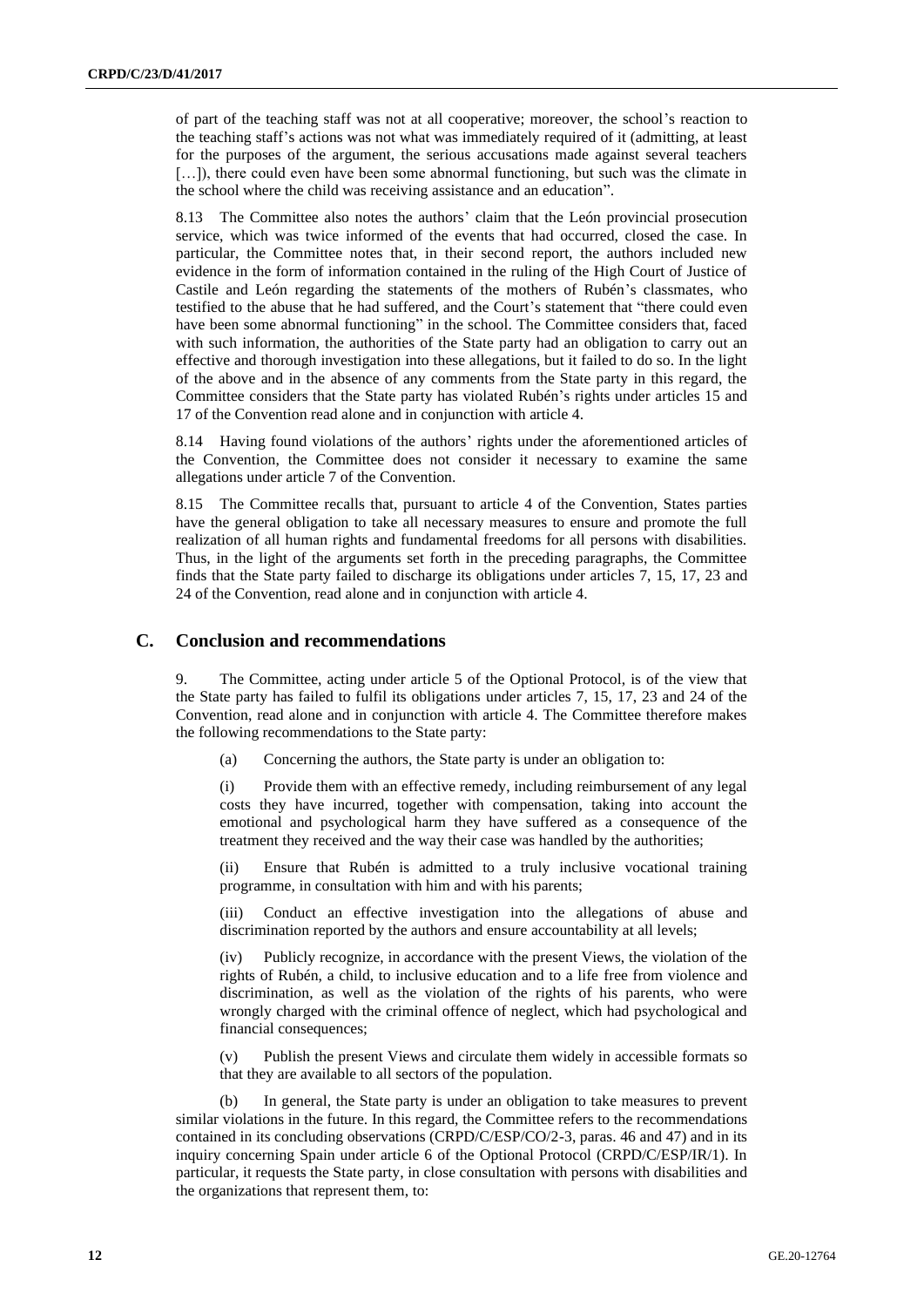of part of the teaching staff was not at all cooperative; moreover, the school's reaction to the teaching staff's actions was not what was immediately required of it (admitting, at least for the purposes of the argument, the serious accusations made against several teachers [...]), there could even have been some abnormal functioning, but such was the climate in the school where the child was receiving assistance and an education".

8.13 The Committee also notes the authors' claim that the León provincial prosecution service, which was twice informed of the events that had occurred, closed the case. In particular, the Committee notes that, in their second report, the authors included new evidence in the form of information contained in the ruling of the High Court of Justice of Castile and León regarding the statements of the mothers of Rubén's classmates, who testified to the abuse that he had suffered, and the Court's statement that "there could even have been some abnormal functioning" in the school. The Committee considers that, faced with such information, the authorities of the State party had an obligation to carry out an effective and thorough investigation into these allegations, but it failed to do so. In the light of the above and in the absence of any comments from the State party in this regard, the Committee considers that the State party has violated Rubén's rights under articles 15 and 17 of the Convention read alone and in conjunction with article 4.

8.14 Having found violations of the authors' rights under the aforementioned articles of the Convention, the Committee does not consider it necessary to examine the same allegations under article 7 of the Convention.

8.15 The Committee recalls that, pursuant to article 4 of the Convention, States parties have the general obligation to take all necessary measures to ensure and promote the full realization of all human rights and fundamental freedoms for all persons with disabilities. Thus, in the light of the arguments set forth in the preceding paragraphs, the Committee finds that the State party failed to discharge its obligations under articles 7, 15, 17, 23 and 24 of the Convention, read alone and in conjunction with article 4.

### **C. Conclusion and recommendations**

9. The Committee, acting under article 5 of the Optional Protocol, is of the view that the State party has failed to fulfil its obligations under articles 7, 15, 17, 23 and 24 of the Convention, read alone and in conjunction with article 4. The Committee therefore makes the following recommendations to the State party:

(a) Concerning the authors, the State party is under an obligation to:

(i) Provide them with an effective remedy, including reimbursement of any legal costs they have incurred, together with compensation, taking into account the emotional and psychological harm they have suffered as a consequence of the treatment they received and the way their case was handled by the authorities;

(ii) Ensure that Rubén is admitted to a truly inclusive vocational training programme, in consultation with him and with his parents;

(iii) Conduct an effective investigation into the allegations of abuse and discrimination reported by the authors and ensure accountability at all levels;

(iv) Publicly recognize, in accordance with the present Views, the violation of the rights of Rubén, a child, to inclusive education and to a life free from violence and discrimination, as well as the violation of the rights of his parents, who were wrongly charged with the criminal offence of neglect, which had psychological and financial consequences;

(v) Publish the present Views and circulate them widely in accessible formats so that they are available to all sectors of the population.

In general, the State party is under an obligation to take measures to prevent similar violations in the future. In this regard, the Committee refers to the recommendations contained in its concluding observations (CRPD/C/ESP/CO/2-3, paras. 46 and 47) and in its inquiry concerning Spain under article 6 of the Optional Protocol (CRPD/C/ESP/IR/1). In particular, it requests the State party, in close consultation with persons with disabilities and the organizations that represent them, to: